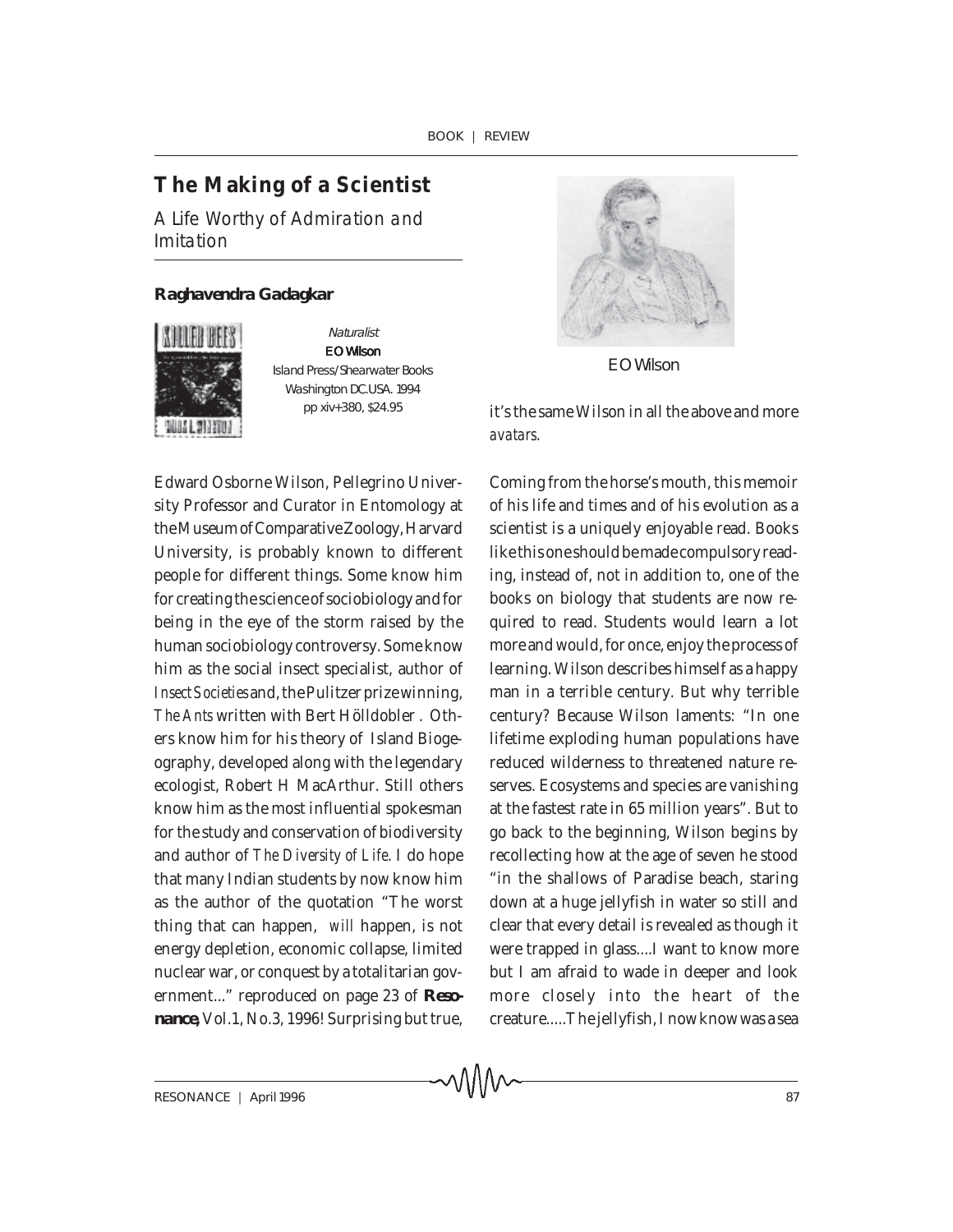∧ΛΛΛ∧

## **The Making of a Scientist**

A Life Worthy of Admiration and Imitation

## *Raghavendra Gadagkar*



**Naturalist** E O Wilson Island Press/Shearwater Books Washington DC.USA. 1994 pp xiv+380, \$24.95

Edward Osborne Wilson, Pellegrino University Professor and Curator in Entomology at the Museum of Comparative Zoology, Harvard University, is probably known to different people for different things. Some know him for creating the science of sociobiology and for being in the eye of the storm raised by the human sociobiology controversy. Some know him as the social insect specialist, author of *Insect Societies* and, the Pulitzer prize winning, *The Ants* written with Bert Hölldobler . Others know him for his theory of Island Biogeography, developed along with the legendary ecologist, Robert H MacArthur. Still others know him as the most influential spokesman for the study and conservation of biodiversity and author of *The Diversity of Life*. I do hope that many Indian students by now know him as the author of the quotation "The worst thing that can happen, *will* happen, is not energy depletion, economic collapse, limited nuclear war, or conquest by a totalitarian government..." reproduced on page 23 of *Resonance***,** Vol.1, No.3, 1996! Surprising but true,



E O Wilson

it's the same Wilson in all the above and more *avatars*.

Coming from the horse's mouth, this memoir of his life and times and of his evolution as a scientist is a uniquely enjoyable read. Books like this one should be made compulsory reading, instead of, not in addition to, one of the books on biology that students are now required to read. Students would learn a lot more and would, for once, enjoy the process of learning. Wilson describes himself as a happy man in a terrible century. But why terrible century? Because Wilson laments: "In one lifetime exploding human populations have reduced wilderness to threatened nature reserves. Ecosystems and species are vanishing at the fastest rate in 65 million years". But to go back to the beginning, Wilson begins by recollecting how at the age of seven he stood "in the shallows of Paradise beach, staring down at a huge jellyfish in water so still and clear that every detail is revealed as though it were trapped in glass....I want to know more but I am afraid to wade in deeper and look more closely into the heart of the creature.....The jellyfish, I now know was a sea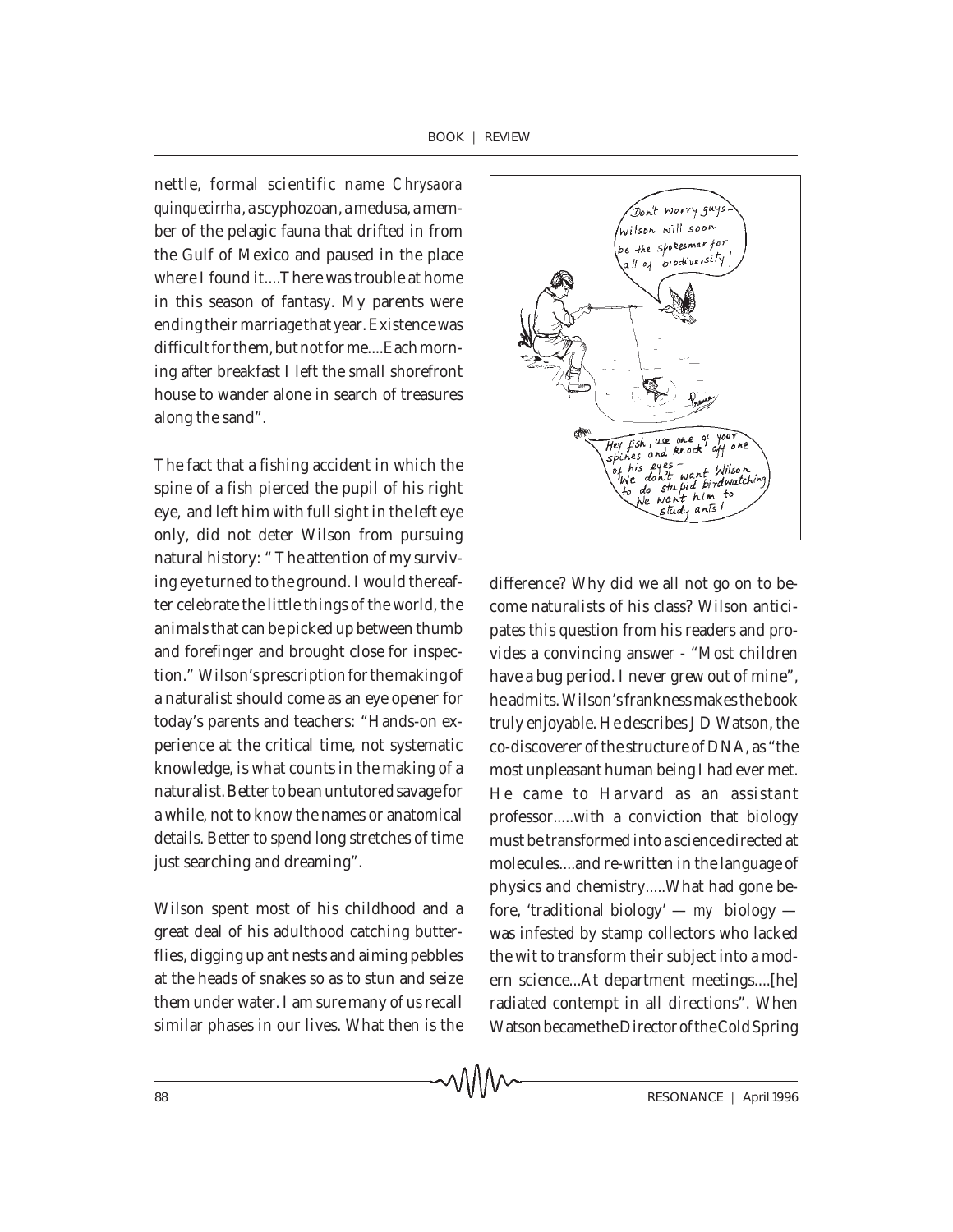nettle, formal scientific name *Chrysaora quinquecirrha*, a scyphozoan, a medusa, a member of the pelagic fauna that drifted in from the Gulf of Mexico and paused in the place where I found it....There was trouble at home in this season of fantasy. My parents were ending their marriage that year. Existence was difficult for them, but not for me....Each morning after breakfast I left the small shorefront house to wander alone in search of treasures along the sand".

The fact that a fishing accident in which the spine of a fish pierced the pupil of his right eye, and left him with full sight in the left eye only, did not deter Wilson from pursuing natural history: " The attention of my surviving eye turned to the ground. I would thereafter celebrate the little things of the world, the animals that can be picked up between thumb and forefinger and brought close for inspection." Wilson's prescription for the making of a naturalist should come as an eye opener for today's parents and teachers: "Hands-on experience at the critical time, not systematic knowledge, is what counts in the making of a naturalist. Better to be an untutored savage for a while, not to know the names or anatomical details. Better to spend long stretches of time just searching and dreaming".

Wilson spent most of his childhood and a great deal of his adulthood catching butterflies, digging up ant nests and aiming pebbles at the heads of snakes so as to stun and seize them under water. I am sure many of us recall similar phases in our lives. What then is the



difference? Why did we all not go on to become naturalists of his class? Wilson anticipates this question from his readers and provides a convincing answer - "Most children have a bug period. I never grew out of mine", he admits. Wilson's frankness makes the book truly enjoyable. He describes J D Watson, the co-discoverer of the structure of DNA, as "the most unpleasant human being I had ever met. He came to Harvard as an assistant professor.....with a conviction that biology must be transformed into a science directed at molecules....and re-written in the language of physics and chemistry.....What had gone before, 'traditional biology' — *my* biology was infested by stamp collectors who lacked the wit to transform their subject into a modern science...At department meetings....[he] radiated contempt in all directions". When Watson became the Director of the Cold Spring